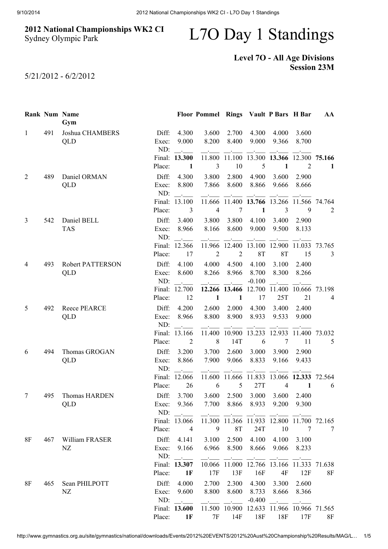## 2012 National Championships WK2 CI Sydney Olympic Park

## L7O Day 1 Standings

## Level 7O - All Age Divisions Session 23M

5/21/2012 - 6/2/2012

|              |     | <b>Rank Num Name</b><br>Gym    |                       |                                              | Floor Pommel Rings Vault P Bars H Bar |                                                                     |                            |                                                                      |                | AA             |
|--------------|-----|--------------------------------|-----------------------|----------------------------------------------|---------------------------------------|---------------------------------------------------------------------|----------------------------|----------------------------------------------------------------------|----------------|----------------|
| $\mathbf{1}$ | 491 | Joshua CHAMBERS<br>QLD         | Diff:<br>Exec:        | 4.300<br>9.000                               | 3.600<br>8.200                        | 2.700<br>8.400                                                      | 4.300<br>9.000             | 4.000<br>9.366                                                       | 3.600<br>8.700 |                |
|              |     |                                | ND:                   | $\sim 10^{11}$ km s $^{-1}$<br>Final: 13.300 |                                       |                                                                     |                            | 11.800 11.100 13.300 13.366 12.300 75.166                            |                |                |
|              |     |                                | Place:                | 1                                            | $\mathfrak{Z}$                        | 10                                                                  | 5                          | $\mathbf{1}$                                                         | $\overline{2}$ | 1              |
| 2            | 489 | Daniel ORMAN<br>QLD            | Diff:<br>Exec:<br>ND: | 4.300<br>8.800                               | 3.800<br>7.866                        | 2.800<br>8.600                                                      | 4.900<br>8.866             | 3.600<br>9.666                                                       | 2.900<br>8.666 |                |
|              |     |                                |                       | $\sim 10^{-10}$ m $^{-1}$<br>Final: 13.100   | <b>Contractor</b>                     | <b>Contractor</b>                                                   |                            | 11.666 11.400 13.766 13.266 11.566 74.764                            |                |                |
|              |     |                                | Place:                | 3                                            | $\overline{4}$                        | $\tau$                                                              | $\mathbf{1}$               | $\overline{3}$                                                       | 9              | $\overline{2}$ |
| 3            | 542 | Daniel BELL                    | Diff:                 | 3.400                                        | 3.800                                 | 3.800                                                               | 4.100                      | 3.400                                                                | 2.900          |                |
|              |     | <b>TAS</b>                     | Exec:<br>ND:          | 8.966<br>$\mathbb{R}^2$                      | 8.166                                 | 8.600                                                               | 9.000                      | 9.500                                                                | 8.133          |                |
|              |     |                                | Place:                | Final: 12.366<br>17                          | $\overline{2}$                        | $\overline{2}$                                                      | <b>8T</b>                  | 11.966 12.400 13.100 12.900 11.033 73.765<br><b>8T</b>               | 15             | $\mathfrak{Z}$ |
| 4            | 493 | <b>Robert PATTERSON</b><br>QLD | Diff:<br>Exec:<br>ND: | 4.100<br>8.600<br>$\sim$ $-$                 | 4.000<br>8.266                        | 4.500<br>8.966<br><b>Contract</b>                                   | 4.100<br>8.700<br>$-0.100$ | 3.100<br>8.300<br>$\sim$ $-$                                         | 2.400<br>8.266 |                |
|              |     |                                | Place:                | Final: 12.700<br>12                          | $\mathbf{1}$                          | $\blacksquare$                                                      | 17                         | 12.266 13.466 12.700 11.400 10.666<br>25T                            | 21             | 73.198<br>4    |
| 5            | 492 | Reece PEARCE<br>QLD            | Diff:<br>Exec:<br>ND: | 4.200<br>8.966                               | 2.600<br>8.800                        | 2.000<br>8.900                                                      | 4.300<br>8.933             | 3.400<br>9.533                                                       | 2.400<br>9.000 |                |
|              |     |                                |                       | Final: 13.166                                | 8                                     | 11.400 10.900 13.233                                                |                            | 12.933                                                               | 11.400 73.032  |                |
|              |     |                                | Place:                | 2                                            |                                       | 14T                                                                 | 6                          | $\overline{7}$                                                       | 11             | 5              |
| 6            | 494 | Thomas GROGAN<br><b>QLD</b>    | Diff:<br>Exec:<br>ND: | 3.200<br>8.866                               | 3.700<br>7.900                        | 2.600<br>9.066                                                      | 3.000<br>8.833             | 3.900<br>9.166                                                       | 2.900<br>9.433 |                |
|              |     |                                |                       | Final: 12.066                                |                                       |                                                                     |                            | 11.600 11.666 11.833 13.066 12.333 72.564                            |                |                |
|              |     |                                | Place:                | 26                                           | 6                                     | 5                                                                   | 27T                        | 4                                                                    | 1              | 6              |
| 7            | 495 | <b>Thomas HARDEN</b>           | Diff:                 | 3.700                                        | 3.600                                 | 2.500                                                               | 3.000                      | 3.600                                                                | 2.400          |                |
|              |     | <b>QLD</b>                     | Exec:<br>ND:          | 9.366<br>$\sim 10^{10}$ km s $^{-1}$         |                                       |                                                                     |                            | 7.700 8.866 8.933 9.200 9.300<br>سيختص سيحتب السحيلي السجيلي السجيلي |                |                |
|              |     |                                |                       | Final: 13.066                                |                                       |                                                                     |                            | 11.300 11.366 11.933 12.800 11.700 72.165                            |                |                |
|              |     |                                | Place:                | $\overline{4}$                               |                                       | 9 8T                                                                | 24T                        | 10                                                                   | $\overline{7}$ | 7              |
| 8F           | 467 | William FRASER                 | Diff:                 | 4.141                                        | 3.100                                 | 2.500                                                               | 4.100                      | 4.100                                                                | 3.100          |                |
|              |     | NZ                             | Exec:                 | 9.166<br>ND:                                 | 6.966<br><b>Contract Contract</b>     | 8.500                                                               | 8.666                      | 9.066                                                                | 8.233          |                |
|              |     |                                |                       | Final: 13.307                                |                                       |                                                                     |                            | 10.066 11.000 12.766 13.166 11.333 71.638                            |                |                |
|              |     |                                | Place:                | 1F                                           | 17F                                   | 13F                                                                 | 16F                        | 4F                                                                   | 12F            | 8F             |
| 8F           | 465 | Sean PHILPOTT                  | Diff:                 | 4.000                                        | 2.700                                 | 2.300                                                               | 4.300                      | 3.300                                                                | 2.600          |                |
|              |     | NZ                             | Exec:                 | 9.600                                        | 8.800                                 | 8.600                                                               | 8.733                      | 8.666                                                                | 8.366          |                |
|              |     |                                | ND:                   | $\mathcal{L}$                                |                                       | $\overline{\phantom{a}}$ . The contract of $\overline{\phantom{a}}$ | $-0.400$                   | $\sim 100$ km s $^{-1}$                                              |                |                |
|              |     |                                | Place:                | Final: 13.600                                | 7F                                    | 14F                                                                 | 18F                        | 11.500 10.900 12.633 11.966 10.966 71.565                            | 17F            |                |
|              |     |                                |                       | 1F                                           |                                       |                                                                     |                            | 18F                                                                  |                | 8F             |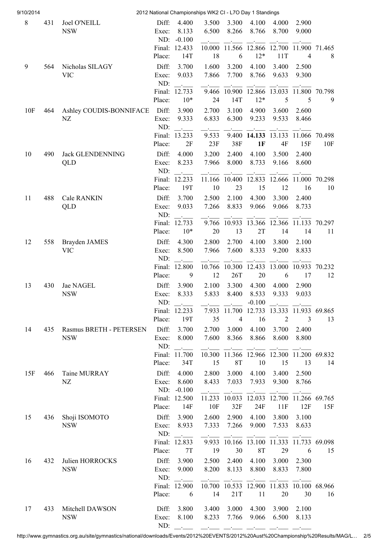| 9/10/2014 |     |                             |                  |                                | 2012 National Championships WK2 CI - L7O Day 1 Standings |                         |                   |                                                |                |        |
|-----------|-----|-----------------------------|------------------|--------------------------------|----------------------------------------------------------|-------------------------|-------------------|------------------------------------------------|----------------|--------|
| $8\,$     | 431 | <b>Joel O'NEILL</b>         | Diff:            | 4.400                          | 3.500                                                    | 3.300                   | 4.100             | 4.000                                          | 2.900          |        |
|           |     | <b>NSW</b>                  | Exec:            | 8.133                          | 6.500                                                    | 8.266                   | 8.766             | 8.700                                          | 9.000          |        |
|           |     |                             | ND:              | $-0.100$                       |                                                          |                         |                   |                                                |                |        |
|           |     |                             |                  | Final: 12.433                  |                                                          |                         |                   | 10.000 11.566 12.866 12.700 11.900 71.465      |                |        |
|           |     |                             | Place:           | 14T                            | 18                                                       | 6                       | $12*$             | 11T                                            | 4              | 8      |
| 9         | 564 | Nicholas SILAGY             | Diff:            | 3.700                          | 1.600                                                    | 3.200                   | 4.100             | 3.400                                          | 2.500          |        |
|           |     | <b>VIC</b>                  | Exec:            | 9.033                          | 7.866                                                    | 7.700                   | 8.766             | 9.633                                          | 9.300          |        |
|           |     |                             | ND:<br>Final:    | 12.733                         | 9.466                                                    | 10.900                  | 12.866            | 13.033                                         | 11.800         | 70.798 |
|           |     |                             | Place:           | $10*$                          | 24                                                       | 14T                     | $12*$             | 5                                              | 5              | 9      |
| 10F       | 464 | Ashley COUDIS-BONNIFACE     | Diff:            | 3.900                          | 2.700                                                    | 3.100                   | 4.900             | 3.600                                          | 2.600          |        |
|           |     | NZ                          | Exec:            | 9.333                          | 6.833                                                    | 6.300                   | 9.233             | 9.533                                          | 8.466          |        |
|           |     |                             | ND:              |                                |                                                          |                         |                   |                                                |                |        |
|           |     |                             | Final:           | 13.233                         | 9.533                                                    | 9.400                   | 14.133            | 13.133                                         | 11.066         | 70.498 |
|           |     |                             | Place:           | 2F                             | 23F                                                      | 38F                     | 1F                | 4F                                             | 15F            | 10F    |
| 10        | 490 | <b>Jack GLENDENNING</b>     | Diff:            | 4.000                          | 3.200                                                    | 2.400                   | 4.100             | 3.500                                          | 2.400          |        |
|           |     | QLD                         | Exec:            | 8.233                          | 7.966                                                    | 8.000                   | 8.733             | 9.166                                          | 8.600          |        |
|           |     |                             | ND:              |                                |                                                          |                         |                   |                                                |                |        |
|           |     |                             |                  | Final: 12.233                  |                                                          |                         |                   | 11.166 10.400 12.833 12.666 11.000 70.298      |                |        |
|           |     |                             | Place:           | 19T                            | 10                                                       | 23                      | 15                | 12                                             | 16             | 10     |
| 11        | 488 | <b>Cale RANKIN</b>          | Diff:            | 3.700                          | 2.500                                                    | 2.100                   | 4.300             | 3.300                                          | 2.400          |        |
|           |     | QLD                         | Exec:            | 9.033                          | 7.266                                                    | 8.833                   | 9.066             | 9.066                                          | 8.733          |        |
|           |     |                             | ND:              |                                |                                                          |                         |                   |                                                |                |        |
|           |     |                             | Final:<br>Place: | 12.733<br>$10*$                | 20                                                       | 13                      | 2T                | 9.766 10.933 13.366 12.366 11.133 70.297<br>14 | 14             | 11     |
|           |     |                             |                  |                                |                                                          |                         |                   |                                                |                |        |
| 12        | 558 | Brayden JAMES<br><b>VIC</b> | Diff:<br>Exec:   | 4.300<br>8.500                 | 2.800<br>7.966                                           | 2.700<br>7.600          | 4.100<br>8.333    | 3.800<br>9.200                                 | 2.100<br>8.833 |        |
|           |     |                             | ND:              |                                |                                                          |                         |                   |                                                |                |        |
|           |     |                             | Final:           | $\ddot{\phantom{a}}$<br>12.800 | 10.766                                                   | 10.300                  | 12.433            | 13.000                                         | 10.933         | 70.232 |
|           |     |                             | Place:           | 9                              | 12                                                       | 26T                     | 20                | 6                                              | 17             | 12     |
| 13        | 430 | Jae NAGEL                   | Diff:            | 3.900                          | 2.100                                                    | 3.300                   | 4.300             | 4.000                                          | 2.900          |        |
|           |     | <b>NSW</b>                  | Exec:            | 8.333                          | 5.833                                                    | 8.400                   | 8.533             | 9.333                                          | 9.033          |        |
|           |     |                             | ND:              |                                |                                                          |                         | $-0.100$          |                                                |                |        |
|           |     |                             |                  | Final: 12.233                  |                                                          |                         |                   | 7.933 11.700 12.733 13.333 11.933 69.865       |                |        |
|           |     |                             | Place:           | 19T                            | 35                                                       | $\overline{4}$          | 16                | $\overline{2}$                                 | 3              | 13     |
| 14        | 435 | Rasmus BRETH - PETERSEN     | Diff:            | 3.700                          | 2.700                                                    | 3.000                   | 4.100             | 3.700                                          | 2.400          |        |
|           |     | <b>NSW</b>                  | Exec:            | 8.000                          | 7.600                                                    | 8.366                   | 8.866             | 8.600                                          | 8.800          |        |
|           |     |                             | ND:              |                                | $\sim 1000$ km s $^{-1}$                                 |                         |                   |                                                |                |        |
|           |     |                             |                  | Final: 11.700                  |                                                          |                         |                   | 10.300 11.366 12.966 12.300 11.200 69.832      |                |        |
|           |     |                             | Place:           | 34T                            | 15                                                       | <b>8T</b>               | 10                | 15                                             | 13             | 14     |
| 15F       | 466 | Taine MURRAY                | Diff:            | 4.000                          | 2.800                                                    | 3.000                   | 4.100             | 3.400                                          | 2.500          |        |
|           |     | NZ                          | Exec:<br>ND:     | 8.600<br>$-0.100$              | 8.433                                                    | 7.033                   | 7.933             | 9.300                                          | 8.766          |        |
|           |     |                             |                  | Final: 12.500                  |                                                          | the company of the com- | <b>Contractor</b> | 11.233 10.033 12.033 12.700 11.266 69.765      |                |        |
|           |     |                             | Place:           | 14F                            | 10F                                                      | 32F                     | 24F               | 11F                                            | 12F            | 15F    |
| 15        | 436 | Shoji ISOMOTO               | Diff:            | 3.900                          | 2.600                                                    | 2.900                   | 4.100             | 3.800                                          | 3.100          |        |
|           |     | <b>NSW</b>                  | Exec:            | 8.933                          | 7.333                                                    | 7.266                   | 9.000             | 7.533                                          | 8.633          |        |
|           |     |                             | ND:              | $\sim 10^{-10}$                |                                                          |                         |                   |                                                |                |        |
|           |     |                             |                  | Final: 12.833                  |                                                          |                         |                   | 9.933 10.166 13.100 11.333 11.733 69.098       |                |        |
|           |     |                             | Place:           | 7T                             | 19                                                       | 30                      | <b>8T</b>         | 29                                             | 6              | 15     |
| 16        | 432 | Julien HORROCKS             | Diff:            | 3.900                          | 2.500                                                    | 2.400                   | 4.100             | 3.000                                          | 2.300          |        |
|           |     | <b>NSW</b>                  | Exec:            | 9.000                          | 8.200                                                    | 8.133                   | 8.800             | 8.833                                          | 7.800          |        |
|           |     |                             | ND:              | $\sim 10^{-10}$                |                                                          |                         |                   |                                                |                |        |
|           |     |                             |                  | Final: 12.900                  |                                                          |                         |                   | 10.700 10.533 12.900 11.833 10.100 68.966      |                |        |
|           |     |                             | Place:           | 6                              | 14                                                       | 21T                     | 11                | 20                                             | 30             | 16     |
| 17        | 433 | Mitchell DAWSON             | Diff:            | 3.800                          | 3.400                                                    | 3.000                   | 4.300             | 3.900                                          | 2.100          |        |
|           |     | <b>NSW</b>                  | Exec:            | 8.100                          | 8.233                                                    | 7.766                   | 9.066             | 6.500                                          | 8.133          |        |
|           |     |                             | ND:              |                                |                                                          |                         |                   |                                                |                |        |

http://www.gymnastics.org.au/site/gymnastics/national/downloads/Events/2012%20EVENTS/2012%20Aust%20Championship%20Results/MAG/L… 2/5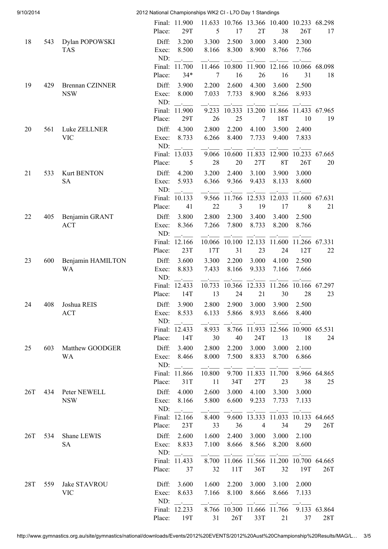| 9/10/2014 |     |                                  | 2012 National Championships WK2 CI - L7O Day 1 Standings |                                                            |                                                   |                        |                                   |                                                 |                      |                            |  |
|-----------|-----|----------------------------------|----------------------------------------------------------|------------------------------------------------------------|---------------------------------------------------|------------------------|-----------------------------------|-------------------------------------------------|----------------------|----------------------------|--|
|           |     |                                  | Place:                                                   | Final: 11.900<br>29T                                       | 5                                                 | 17                     | 2T                                | 11.633 10.766 13.366 10.400 10.233 68.298<br>38 | 26T                  | 17                         |  |
| 18        | 543 | Dylan POPOWSKI<br><b>TAS</b>     | Diff:<br>Exec:<br>ND:                                    | 3.200<br>8.500<br>$\Delta \sim 10^{-11}$                   | 3.300<br>8.166                                    | 2.500<br>8.300         | 3.000<br>8.900                    | 3.400<br>8.766                                  | 2.300<br>7.766       |                            |  |
|           |     |                                  |                                                          | Final: 11.700                                              |                                                   | 11.466 10.800 11.900   |                                   | 12.166 10.066 68.098                            |                      |                            |  |
| 19        | 429 | <b>Brennan CZINNER</b>           | Place:<br>Diff:                                          | $34*$<br>3.900                                             | 7<br>2.200                                        | 16<br>2.600            | 26<br>4.300                       | 16<br>3.600                                     | 31<br>2.500          | 18                         |  |
|           |     | <b>NSW</b>                       | Exec:<br>ND:                                             | 8.000<br>$\sim 10^{-11}$                                   | 7.033                                             | 7.733                  | 8.900                             | 8.266                                           | 8.933                |                            |  |
|           |     |                                  |                                                          | Final: 11.900                                              | 9.233                                             | 10.333                 | 13.200                            | 11.866 11.433 67.965                            |                      |                            |  |
|           |     |                                  | Place:                                                   | 29T                                                        | 26                                                | 25                     | 7                                 | 18T                                             | 10                   | 19                         |  |
| 20        | 561 | Luke ZELLNER<br><b>VIC</b>       | Diff:<br>Exec:<br>ND:                                    | 4.300<br>8.733<br>$\sim$                                   | 2.800<br>6.266                                    | 2.200<br>8.400         | 4.100<br>7.733                    | 3.500<br>9.400                                  | 2.400<br>7.833       |                            |  |
|           |     |                                  |                                                          | Final: 13.033                                              | 9.066                                             | 10.600                 | 11.833                            | 12.900                                          | 10.233               | 67.665                     |  |
|           |     |                                  | Place:                                                   | 5                                                          | 28                                                | 20                     | 27T                               | <b>8T</b>                                       | 26T                  | 20                         |  |
| 21        | 533 | <b>Kurt BENTON</b><br><b>SA</b>  | Diff:<br>Exec:<br>ND:                                    | 4.200<br>5.933                                             | 3.200<br>6.366                                    | 2.400<br>9.366         | 3.100<br>9.433                    | 3.900<br>8.133                                  | 3.000<br>8.600       |                            |  |
|           |     |                                  | Final:                                                   | 10.133                                                     | 9.566                                             | 11.766                 | 12.533                            | 12.033                                          | 11.600               | 67.631                     |  |
|           |     |                                  | Place:                                                   | 41                                                         | 22                                                | 3                      | 19                                | 17                                              | 8                    | 21                         |  |
| 22        | 405 | Benjamin GRANT<br><b>ACT</b>     | Diff:<br>Exec:<br>ND:                                    | 3.800<br>8.366                                             | 2.800<br>7.266                                    | 2.300<br>7.800         | 3.400<br>8.733                    | 3.400<br>8.200                                  | 2.500<br>8.766       |                            |  |
|           |     |                                  | Final:<br>Place:                                         | 12.166<br>23T                                              | 10.066<br>17T                                     | 10.100<br>31           | 12.133<br>23                      | 11.600<br>24                                    | 11.266 67.331<br>12T | 22                         |  |
| 23        | 600 | Benjamin HAMILTON<br>WA          | Diff:<br>Exec:                                           | 3.600<br>8.833                                             | 3.300<br>7.433                                    | 2.200<br>8.166         | 3.000<br>9.333                    | 4.100<br>7.166                                  | 2.500<br>7.666       |                            |  |
|           |     |                                  | ND:<br>Final:<br>Place:                                  | <b>Service</b><br>12.433<br>14T                            | 10.733<br>13                                      | 10.366<br>24           | 12.333<br>21                      | 30                                              | 28                   | 11.266 10.166 67.297<br>23 |  |
| 24        | 408 | Joshua REIS                      | Diff:                                                    | 3.900                                                      | 2.800                                             | 2.900                  |                                   | 3.000 3.900                                     | 2.500                |                            |  |
|           |     | <b>ACT</b>                       | Exec:<br>ND:                                             | 8.533<br>$\sim 10^{11}$ km $^{-1}$                         | 6.133                                             |                        | 5.866 8.933                       | 8.666                                           | 8.400                |                            |  |
|           |     |                                  |                                                          | Final: 12.433                                              | 8.933                                             |                        |                                   | 8.766 11.933 12.566 10.900 65.531               |                      |                            |  |
|           |     |                                  | Place:                                                   | 14T                                                        | 30                                                | 40                     | 24T                               | 13                                              | 18                   | 24                         |  |
| 25        |     | 603 Matthew GOODGER<br><b>WA</b> | Diff:<br>Exec:<br>ND:                                    | 3.400<br>8.466<br>$\mathcal{L}$ . The set of $\mathcal{L}$ | 2.800<br>8.000                                    | 2.200                  | 3.000                             | 3.000<br>7.500 8.833 8.700                      | 2.100<br>6.866       |                            |  |
|           |     |                                  | Place:                                                   | Final: 11.866<br>31T                                       | $\overline{\phantom{a}}$<br>10.800<br>11          | $\sim 10^{-10}$<br>34T | 9.700 11.833 11.700<br>27T        | 23                                              | 38                   | 8.966 64.865<br>25         |  |
| 26T       |     | 434 Peter NEWELL<br><b>NSW</b>   | Diff:<br>Exec:                                           | 4.000<br>8.166                                             | 2.600<br>5.800                                    |                        | 3.000 4.100<br>6.600 9.233 7.733  | 3.300                                           | 3.000<br>7.133       |                            |  |
|           |     |                                  | ND:                                                      | $\sim 100$ km s $^{-1}$<br>Final: 12.166                   | $\mathcal{L}$ . The set of $\mathcal{L}$<br>8.400 |                        |                                   | 9.600 13.333 11.033 10.133 64.665               |                      |                            |  |
|           |     |                                  | Place:                                                   | 23T                                                        | 33                                                | 36                     | $\overline{4}$                    | 34                                              | 29                   | 26T                        |  |
| 26T       |     | 534 Shane LEWIS<br><b>SA</b>     | Diff:<br>Exec:                                           | 2.600<br>8.833                                             | 1.600<br>7.100                                    |                        |                                   | 2.400 3.000 3.000<br>8.666 8.566 8.200          | 2.100<br>8.600       |                            |  |
|           |     |                                  | ND:                                                      | $\sim 10^{11}$ and $\sim 10^{11}$                          | $\sim 1000$ km s $^{-1}$                          |                        | provided a state of the state of  |                                                 |                      |                            |  |
|           |     |                                  | Place:                                                   | Final: 11.433<br>37                                        | 32                                                | 11T                    | 36T                               | 8.700 11.066 11.566 11.200 10.700 64.665<br>32  | 19T                  | 26T                        |  |
| 28T       | 559 | Jake STAVROU                     | Diff:                                                    | 3.600                                                      | 1.600                                             | 2.200                  | 3.000                             | 3.100                                           | 2.000                |                            |  |
|           |     | <b>VIC</b>                       | Exec:<br>ND:                                             | 8.633<br>$\sim 10^{11}$                                    | 7.166                                             | 8.100                  | $\sim$ $-$                        | 8.666 8.666<br><b>Contract</b>                  | 7.133                |                            |  |
|           |     |                                  |                                                          | Final: 12.233<br>Place: 19T                                | 31                                                | 26T                    | 8.766 10.300 11.666 11.766<br>33T | 21                                              | 37                   | 9.133 63.864<br>28T        |  |
|           |     |                                  |                                                          |                                                            |                                                   |                        |                                   |                                                 |                      |                            |  |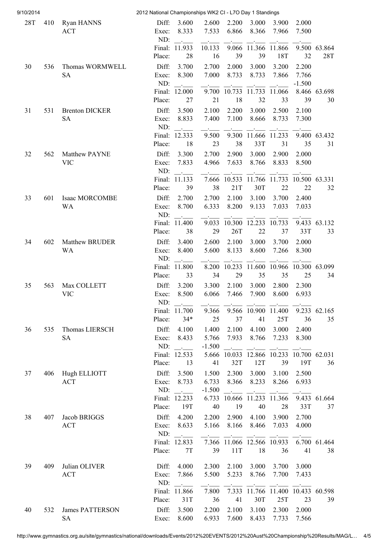| 9/10/2014  |     |                                 | 2012 National Championships WK2 CI - L7O Day 1 Standings |                                    |                           |                          |                                                                                   |                                                                                                                                                                                                                                                                                                                                                                                                                                                                                                                                                   |                      |              |
|------------|-----|---------------------------------|----------------------------------------------------------|------------------------------------|---------------------------|--------------------------|-----------------------------------------------------------------------------------|---------------------------------------------------------------------------------------------------------------------------------------------------------------------------------------------------------------------------------------------------------------------------------------------------------------------------------------------------------------------------------------------------------------------------------------------------------------------------------------------------------------------------------------------------|----------------------|--------------|
| <b>28T</b> | 410 | <b>Ryan HANNS</b><br><b>ACT</b> | Diff:<br>Exec:                                           | 3.600<br>8.333                     | 2.600<br>7.533            | 2.200<br>6.866           | 3.000<br>8.366                                                                    | 3.900<br>7.966                                                                                                                                                                                                                                                                                                                                                                                                                                                                                                                                    | 2.000<br>7.500       |              |
|            |     |                                 | ND:                                                      | $\sim$ $\sim$<br>Final: 11.933     | 10.133                    | 9.066                    | 11.366                                                                            | 11.866                                                                                                                                                                                                                                                                                                                                                                                                                                                                                                                                            |                      | 9.500 63.864 |
|            |     |                                 | Place:                                                   | 28                                 | 16                        | 39                       | 39                                                                                | 18T                                                                                                                                                                                                                                                                                                                                                                                                                                                                                                                                               | 32                   | 28T          |
| 30         | 536 | Thomas WORMWELL                 | Diff:                                                    | 3.700                              | 2.700                     | 2.000                    | 3.000                                                                             | 3.200                                                                                                                                                                                                                                                                                                                                                                                                                                                                                                                                             | 2.200                |              |
|            |     | <b>SA</b>                       | Exec:                                                    | 8.300                              | 7.000                     | 8.733                    | 8.733                                                                             | 7.866                                                                                                                                                                                                                                                                                                                                                                                                                                                                                                                                             | 7.766                |              |
|            |     |                                 | ND:                                                      |                                    |                           |                          |                                                                                   |                                                                                                                                                                                                                                                                                                                                                                                                                                                                                                                                                   | $-1.500$             |              |
|            |     |                                 | Final:                                                   | 12.000                             | 9.700                     | 10.733                   | 11.733                                                                            | 11.066                                                                                                                                                                                                                                                                                                                                                                                                                                                                                                                                            |                      | 8.466 63.698 |
|            |     |                                 | Place:                                                   | 27                                 | 21                        | 18                       | 32                                                                                | 33                                                                                                                                                                                                                                                                                                                                                                                                                                                                                                                                                | 39                   | 30           |
| 31         | 531 | <b>Brenton DICKER</b>           | Diff:                                                    | 3.500                              | 2.100                     | 2.200                    | 3.000                                                                             | 2.500                                                                                                                                                                                                                                                                                                                                                                                                                                                                                                                                             | 2.100                |              |
|            |     | <b>SA</b>                       | Exec:                                                    | 8.833                              | 7.400                     | 7.100                    | 8.666                                                                             | 8.733                                                                                                                                                                                                                                                                                                                                                                                                                                                                                                                                             | 7.300                |              |
|            |     |                                 | ND:                                                      |                                    |                           |                          |                                                                                   |                                                                                                                                                                                                                                                                                                                                                                                                                                                                                                                                                   |                      |              |
|            |     |                                 |                                                          | Final: 12.333                      | 9.500                     | 9.300                    | 11.666 11.233                                                                     |                                                                                                                                                                                                                                                                                                                                                                                                                                                                                                                                                   |                      | 9.400 63.432 |
|            |     |                                 | Place:                                                   | 18                                 | 23                        | 38                       | 33T                                                                               | 31                                                                                                                                                                                                                                                                                                                                                                                                                                                                                                                                                | 35                   | 31           |
| 32         | 562 | Matthew PAYNE                   | Diff:                                                    | 3.300                              | 2.700                     | 2.900                    | 3.000                                                                             | 2.900                                                                                                                                                                                                                                                                                                                                                                                                                                                                                                                                             | 2.000                |              |
|            |     | <b>VIC</b>                      | Exec:<br>ND:                                             | 7.833                              | 4.966                     | 7.633                    | 8.766                                                                             | 8.833                                                                                                                                                                                                                                                                                                                                                                                                                                                                                                                                             | 8.500                |              |
|            |     |                                 |                                                          | <b>Contractor</b><br>Final: 11.133 |                           | 7.666 10.533             | 11.766 11.733                                                                     |                                                                                                                                                                                                                                                                                                                                                                                                                                                                                                                                                   | 10.500 63.331        |              |
|            |     |                                 | Place:                                                   | 39                                 | 38                        | 21T                      | 30T                                                                               | 22                                                                                                                                                                                                                                                                                                                                                                                                                                                                                                                                                | 22                   | 32           |
| 33         | 601 | Isaac MORCOMBE                  | Diff:                                                    | 2.700                              | 2.700                     | 2.100                    | 3.100                                                                             | 3.700                                                                                                                                                                                                                                                                                                                                                                                                                                                                                                                                             | 2.400                |              |
|            |     | <b>WA</b>                       | Exec:                                                    | 8.700                              | 6.333                     | 8.200                    | 9.133                                                                             | 7.033                                                                                                                                                                                                                                                                                                                                                                                                                                                                                                                                             | 7.033                |              |
|            |     |                                 | ND:                                                      | <b>Contractor</b>                  |                           |                          |                                                                                   |                                                                                                                                                                                                                                                                                                                                                                                                                                                                                                                                                   |                      |              |
|            |     |                                 |                                                          | Final: 11.400                      |                           | 9.033 10.300             | 12.233                                                                            | 10.733                                                                                                                                                                                                                                                                                                                                                                                                                                                                                                                                            |                      | 9.433 63.132 |
|            |     |                                 | Place:                                                   | 38                                 | 29                        | 26T                      | 22                                                                                | 37                                                                                                                                                                                                                                                                                                                                                                                                                                                                                                                                                | 33T                  | 33           |
| 34         | 602 | <b>Matthew BRUDER</b>           | Diff:                                                    | 3.400                              | 2.600                     | 2.100                    | 3.000                                                                             | 3.700                                                                                                                                                                                                                                                                                                                                                                                                                                                                                                                                             | 2.000                |              |
|            |     | <b>WA</b>                       | Exec:                                                    | 8.400                              | 5.600                     | 8.133                    | 8.600                                                                             | 7.266                                                                                                                                                                                                                                                                                                                                                                                                                                                                                                                                             | 8.300                |              |
|            |     |                                 | ND:                                                      |                                    |                           |                          |                                                                                   |                                                                                                                                                                                                                                                                                                                                                                                                                                                                                                                                                   |                      |              |
|            |     |                                 | Final:                                                   | 11.800                             | 8.200                     | 10.233                   | 11.600                                                                            |                                                                                                                                                                                                                                                                                                                                                                                                                                                                                                                                                   | 10.966 10.300 63.099 |              |
|            |     |                                 | Place:                                                   | 33                                 | 34                        | 29                       | 35                                                                                | 35                                                                                                                                                                                                                                                                                                                                                                                                                                                                                                                                                | 25                   | 34           |
| 35         | 563 | Max COLLETT                     | Diff:                                                    | 3.200                              | 3.300                     | 2.100                    | 3.000                                                                             | 2.800                                                                                                                                                                                                                                                                                                                                                                                                                                                                                                                                             | 2.300<br>6.933       |              |
|            |     | <b>VIC</b>                      | Exec:<br>ND:                                             | 8.500                              | 6.066                     | 7.466                    | 7.900                                                                             | 8.600                                                                                                                                                                                                                                                                                                                                                                                                                                                                                                                                             |                      |              |
|            |     |                                 |                                                          | Final: 11.700                      | 9.366                     |                          |                                                                                   | 9.566 10.900 11.400 9.233 62.165                                                                                                                                                                                                                                                                                                                                                                                                                                                                                                                  |                      |              |
|            |     |                                 | Place:                                                   | $34*$                              | 25                        | 37                       | 41                                                                                | 25T                                                                                                                                                                                                                                                                                                                                                                                                                                                                                                                                               | 36                   | 35           |
| 36         |     | 535 Thomas LIERSCH              | Diff:                                                    | 4.100                              | 1.400                     | 2.100                    |                                                                                   | 4.100 3.000                                                                                                                                                                                                                                                                                                                                                                                                                                                                                                                                       | 2.400                |              |
|            |     | <b>SA</b>                       | Exec:                                                    | 8.433                              | 5.766                     |                          |                                                                                   | 7.933 8.766 7.233                                                                                                                                                                                                                                                                                                                                                                                                                                                                                                                                 | 8.300                |              |
|            |     |                                 | ND:                                                      | $\sim 10^{10}$ .                   | $-1.500$                  |                          |                                                                                   | $\begin{tabular}{ll} \multicolumn{3}{l} {\begin{tabular}{l} \includegraphics[width=0.4cm]{lbf} \end{tabular}} \hline \multicolumn{3}{l}{ \begin{tabular}{l} \includegraphics[width=0.4cm]{lbf} \end{tabular}} \hline \multicolumn{3}{l}{ \begin{tabular}{l} \includegraphics[width=0.4cm]{lbf} \end{tabular}} \hline \multicolumn{3}{l}{ \begin{tabular}{l} \includegraphics[width=0.4cm]{lbf} \end{tabular}} \hline \multicolumn{3}{l}{ \begin{tabular}{l} \includegraphics[width=0.4cm]{lbf} \end{tabular}} \hline \multicolumn{3}{l}{ \begin{$ |                      |              |
|            |     |                                 |                                                          | Final: 12.533                      |                           |                          |                                                                                   | 5.666 10.033 12.866 10.233 10.700 62.031                                                                                                                                                                                                                                                                                                                                                                                                                                                                                                          |                      |              |
|            |     |                                 | Place:                                                   | 13                                 | 41                        | 32T                      | 12T                                                                               | 39                                                                                                                                                                                                                                                                                                                                                                                                                                                                                                                                                | 19T                  | 36           |
| 37         |     | 406 Hugh ELLIOTT                | Diff:                                                    | 3.500                              | 1.500                     | 2.300                    | 3.000                                                                             | 3.100                                                                                                                                                                                                                                                                                                                                                                                                                                                                                                                                             | 2.500                |              |
|            |     | ACT                             | Exec:                                                    | 8.733                              | 6.733                     |                          |                                                                                   | 8.366 8.233 8.266                                                                                                                                                                                                                                                                                                                                                                                                                                                                                                                                 | 6.933                |              |
|            |     |                                 |                                                          | ND: $\qquad$<br>Final: 12.233      | $-1.500$                  | $-$                      | $\mathcal{L}^{\mathcal{L}}(\mathcal{L}^{\mathcal{L}}(\mathcal{L}^{\mathcal{L}}))$ | 6.733 10.666 11.233 11.366                                                                                                                                                                                                                                                                                                                                                                                                                                                                                                                        |                      | 9.433 61.664 |
|            |     |                                 | Place:                                                   | 19T                                | 40                        | 19                       | 40                                                                                | 28                                                                                                                                                                                                                                                                                                                                                                                                                                                                                                                                                | 33T                  | 37           |
| 38         | 407 | Jacob BRIGGS                    | Diff:                                                    | 4.200                              |                           | 2.200 2.900              |                                                                                   | 4.100 3.900                                                                                                                                                                                                                                                                                                                                                                                                                                                                                                                                       | 2.700                |              |
|            |     | <b>ACT</b>                      | Exec:                                                    | 8.633                              |                           |                          | 5.166 8.166 8.466 7.033                                                           |                                                                                                                                                                                                                                                                                                                                                                                                                                                                                                                                                   | 4.000                |              |
|            |     |                                 |                                                          | ND: $\qquad \qquad$                | $\sim 10^{-10}$ m $^{-1}$ |                          |                                                                                   |                                                                                                                                                                                                                                                                                                                                                                                                                                                                                                                                                   |                      |              |
|            |     |                                 |                                                          | Final: 12.833                      |                           |                          |                                                                                   | 7.366 11.066 12.566 10.933                                                                                                                                                                                                                                                                                                                                                                                                                                                                                                                        |                      | 6.700 61.464 |
|            |     |                                 |                                                          | Place: 7T                          |                           | 39 11T                   | 18                                                                                | 36                                                                                                                                                                                                                                                                                                                                                                                                                                                                                                                                                | 41                   | 38           |
|            |     |                                 |                                                          |                                    |                           |                          |                                                                                   |                                                                                                                                                                                                                                                                                                                                                                                                                                                                                                                                                   |                      |              |
| 39         | 409 | Julian OLIVER<br><b>ACT</b>     | Diff:<br>Exec:                                           | 4.000<br>7.866                     | 2.300<br>5.500            | 2.100<br>5.233           |                                                                                   | 3.000 3.700 3.000<br>8.766 7.700                                                                                                                                                                                                                                                                                                                                                                                                                                                                                                                  | 7.433                |              |
|            |     |                                 | ND:                                                      | $\mathbb{R}^n$ . $\mathbb{R}^n$    | $\overline{\phantom{a}}$  | $\overline{\phantom{a}}$ |                                                                                   |                                                                                                                                                                                                                                                                                                                                                                                                                                                                                                                                                   |                      |              |
|            |     |                                 |                                                          | Final: 11.866                      | 7.800                     |                          |                                                                                   | <u> The Common School (1989)</u><br>7.333 11.766 11.400 10.433 60.598                                                                                                                                                                                                                                                                                                                                                                                                                                                                             |                      |              |
|            |     |                                 | Place:                                                   | 31T                                | 36                        | 41                       | 30T                                                                               | 25T                                                                                                                                                                                                                                                                                                                                                                                                                                                                                                                                               | 23                   | 39           |
| 40         | 532 | <b>James PATTERSON</b>          | Diff:                                                    | 3.500                              | 2.200                     | 2.100                    | 3.100                                                                             | 2.300                                                                                                                                                                                                                                                                                                                                                                                                                                                                                                                                             | 2.000                |              |
|            |     | <b>SA</b>                       | Exec:                                                    | 8.600                              | 6.933                     |                          |                                                                                   | 7.600 8.433 7.733 7.566                                                                                                                                                                                                                                                                                                                                                                                                                                                                                                                           |                      |              |